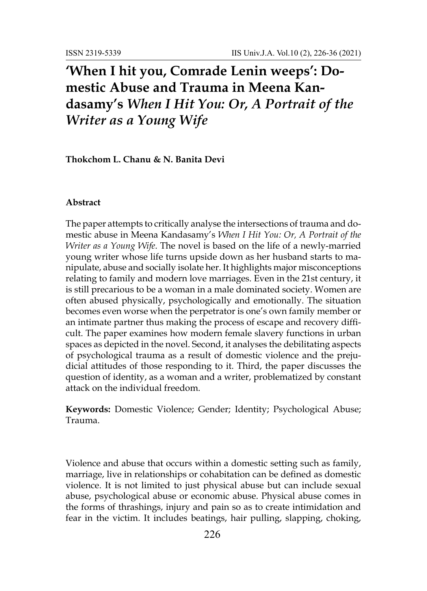# **'When I hit you, Comrade Lenin weeps': Domestic Abuse and Trauma in Meena Kandasamy's** *When I Hit You: Or, A Portrait of the Writer as a Young Wife*

**Thokchom L. Chanu & N. Banita Devi**

# **Abstract**

The paper attempts to critically analyse the intersections of trauma and domestic abuse in Meena Kandasamy's *When I Hit You: Or, A Portrait of the Writer as a Young Wife*. The novel is based on the life of a newly-married young writer whose life turns upside down as her husband starts to manipulate, abuse and socially isolate her. It highlights major misconceptions relating to family and modern love marriages. Even in the 21st century, it is still precarious to be a woman in a male dominated society. Women are often abused physically, psychologically and emotionally. The situation becomes even worse when the perpetrator is one's own family member or an intimate partner thus making the process of escape and recovery difficult. The paper examines how modern female slavery functions in urban spaces as depicted in the novel. Second, it analyses the debilitating aspects of psychological trauma as a result of domestic violence and the prejudicial attitudes of those responding to it. Third, the paper discusses the question of identity, as a woman and a writer, problematized by constant attack on the individual freedom.

**Keywords:** Domestic Violence; Gender; Identity; Psychological Abuse; Trauma.

Violence and abuse that occurs within a domestic setting such as family, marriage, live in relationships or cohabitation can be defined as domestic violence. It is not limited to just physical abuse but can include sexual abuse, psychological abuse or economic abuse. Physical abuse comes in the forms of thrashings, injury and pain so as to create intimidation and fear in the victim. It includes beatings, hair pulling, slapping, choking,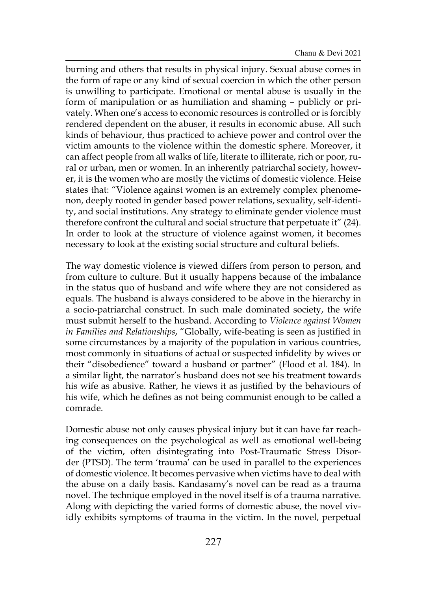burning and others that results in physical injury. Sexual abuse comes in the form of rape or any kind of sexual coercion in which the other person is unwilling to participate. Emotional or mental abuse is usually in the form of manipulation or as humiliation and shaming – publicly or privately. When one's access to economic resources is controlled or is forcibly rendered dependent on the abuser, it results in economic abuse. All such kinds of behaviour, thus practiced to achieve power and control over the victim amounts to the violence within the domestic sphere. Moreover, it can affect people from all walks of life, literate to illiterate, rich or poor, rural or urban, men or women. In an inherently patriarchal society, however, it is the women who are mostly the victims of domestic violence. Heise states that: "Violence against women is an extremely complex phenomenon, deeply rooted in gender based power relations, sexuality, self-identity, and social institutions. Any strategy to eliminate gender violence must therefore confront the cultural and social structure that perpetuate it" (24). In order to look at the structure of violence against women, it becomes necessary to look at the existing social structure and cultural beliefs.

The way domestic violence is viewed differs from person to person, and from culture to culture. But it usually happens because of the imbalance in the status quo of husband and wife where they are not considered as equals. The husband is always considered to be above in the hierarchy in a socio-patriarchal construct. In such male dominated society, the wife must submit herself to the husband. According to *Violence against Women in Families and Relationships*, "Globally, wife-beating is seen as justified in some circumstances by a majority of the population in various countries, most commonly in situations of actual or suspected infidelity by wives or their "disobedience" toward a husband or partner" (Flood et al. 184). In a similar light, the narrator's husband does not see his treatment towards his wife as abusive. Rather, he views it as justified by the behaviours of his wife, which he defines as not being communist enough to be called a comrade.

Domestic abuse not only causes physical injury but it can have far reaching consequences on the psychological as well as emotional well-being of the victim, often disintegrating into Post-Traumatic Stress Disorder (PTSD). The term 'trauma' can be used in parallel to the experiences of domestic violence. It becomes pervasive when victims have to deal with the abuse on a daily basis. Kandasamy's novel can be read as a trauma novel. The technique employed in the novel itself is of a trauma narrative. Along with depicting the varied forms of domestic abuse, the novel vividly exhibits symptoms of trauma in the victim. In the novel, perpetual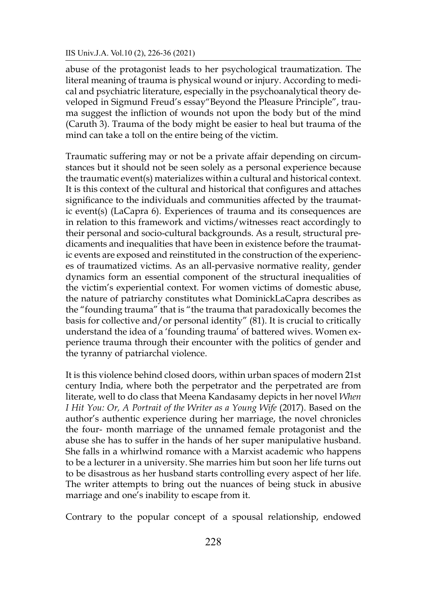abuse of the protagonist leads to her psychological traumatization. The literal meaning of trauma is physical wound or injury. According to medical and psychiatric literature, especially in the psychoanalytical theory developed in Sigmund Freud's essay"Beyond the Pleasure Principle", trauma suggest the infliction of wounds not upon the body but of the mind (Caruth 3). Trauma of the body might be easier to heal but trauma of the mind can take a toll on the entire being of the victim.

Traumatic suffering may or not be a private affair depending on circumstances but it should not be seen solely as a personal experience because the traumatic event(s) materializes within a cultural and historical context. It is this context of the cultural and historical that configures and attaches significance to the individuals and communities affected by the traumatic event(s) (LaCapra 6). Experiences of trauma and its consequences are in relation to this framework and victims/witnesses react accordingly to their personal and socio-cultural backgrounds. As a result, structural predicaments and inequalities that have been in existence before the traumatic events are exposed and reinstituted in the construction of the experiences of traumatized victims. As an all-pervasive normative reality, gender dynamics form an essential component of the structural inequalities of the victim's experiential context. For women victims of domestic abuse, the nature of patriarchy constitutes what DominickLaCapra describes as the "founding trauma" that is "the trauma that paradoxically becomes the basis for collective and/or personal identity" (81). It is crucial to critically understand the idea of a 'founding trauma' of battered wives. Women experience trauma through their encounter with the politics of gender and the tyranny of patriarchal violence.

It is this violence behind closed doors, within urban spaces of modern 21st century India, where both the perpetrator and the perpetrated are from literate, well to do class that Meena Kandasamy depicts in her novel *When I Hit You: Or, A Portrait of the Writer as a Young Wife* (2017). Based on the author's authentic experience during her marriage, the novel chronicles the four- month marriage of the unnamed female protagonist and the abuse she has to suffer in the hands of her super manipulative husband. She falls in a whirlwind romance with a Marxist academic who happens to be a lecturer in a university. She marries him but soon her life turns out to be disastrous as her husband starts controlling every aspect of her life. The writer attempts to bring out the nuances of being stuck in abusive marriage and one's inability to escape from it.

Contrary to the popular concept of a spousal relationship, endowed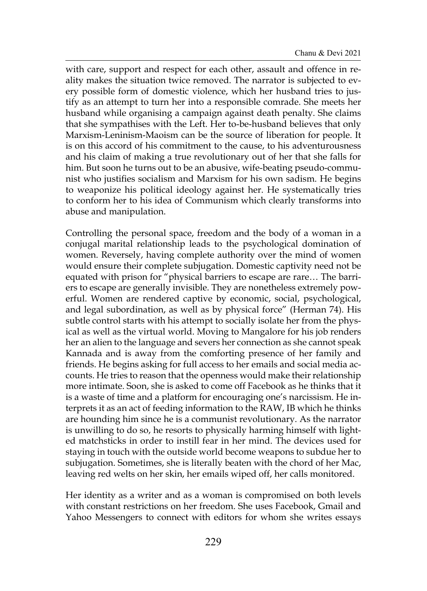with care, support and respect for each other, assault and offence in reality makes the situation twice removed. The narrator is subjected to every possible form of domestic violence, which her husband tries to justify as an attempt to turn her into a responsible comrade. She meets her husband while organising a campaign against death penalty. She claims that she sympathises with the Left. Her to-be-husband believes that only Marxism-Leninism-Maoism can be the source of liberation for people. It is on this accord of his commitment to the cause, to his adventurousness and his claim of making a true revolutionary out of her that she falls for him. But soon he turns out to be an abusive, wife-beating pseudo-communist who justifies socialism and Marxism for his own sadism. He begins to weaponize his political ideology against her. He systematically tries to conform her to his idea of Communism which clearly transforms into abuse and manipulation.

Controlling the personal space, freedom and the body of a woman in a conjugal marital relationship leads to the psychological domination of women. Reversely, having complete authority over the mind of women would ensure their complete subjugation. Domestic captivity need not be equated with prison for "physical barriers to escape are rare… The barriers to escape are generally invisible. They are nonetheless extremely powerful. Women are rendered captive by economic, social, psychological, and legal subordination, as well as by physical force" (Herman 74). His subtle control starts with his attempt to socially isolate her from the physical as well as the virtual world. Moving to Mangalore for his job renders her an alien to the language and severs her connection as she cannot speak Kannada and is away from the comforting presence of her family and friends. He begins asking for full access to her emails and social media accounts. He tries to reason that the openness would make their relationship more intimate. Soon, she is asked to come off Facebook as he thinks that it is a waste of time and a platform for encouraging one's narcissism. He interprets it as an act of feeding information to the RAW, IB which he thinks are hounding him since he is a communist revolutionary. As the narrator is unwilling to do so, he resorts to physically harming himself with lighted matchsticks in order to instill fear in her mind. The devices used for staying in touch with the outside world become weapons to subdue her to subjugation. Sometimes, she is literally beaten with the chord of her Mac, leaving red welts on her skin, her emails wiped off, her calls monitored.

Her identity as a writer and as a woman is compromised on both levels with constant restrictions on her freedom. She uses Facebook, Gmail and Yahoo Messengers to connect with editors for whom she writes essays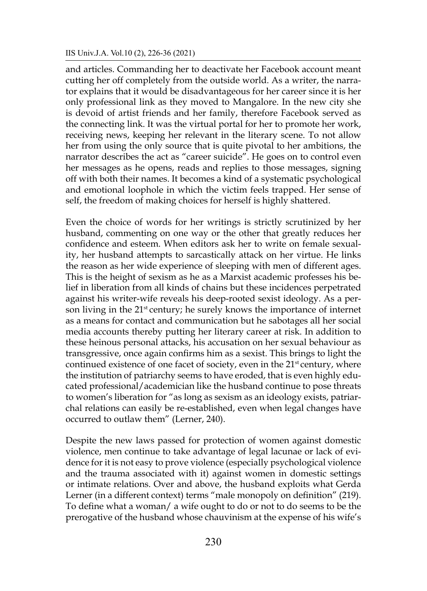and articles. Commanding her to deactivate her Facebook account meant cutting her off completely from the outside world. As a writer, the narrator explains that it would be disadvantageous for her career since it is her only professional link as they moved to Mangalore. In the new city she is devoid of artist friends and her family, therefore Facebook served as the connecting link. It was the virtual portal for her to promote her work, receiving news, keeping her relevant in the literary scene. To not allow her from using the only source that is quite pivotal to her ambitions, the narrator describes the act as "career suicide". He goes on to control even her messages as he opens, reads and replies to those messages, signing off with both their names. It becomes a kind of a systematic psychological and emotional loophole in which the victim feels trapped. Her sense of self, the freedom of making choices for herself is highly shattered.

Even the choice of words for her writings is strictly scrutinized by her husband, commenting on one way or the other that greatly reduces her confidence and esteem. When editors ask her to write on female sexuality, her husband attempts to sarcastically attack on her virtue. He links the reason as her wide experience of sleeping with men of different ages. This is the height of sexism as he as a Marxist academic professes his belief in liberation from all kinds of chains but these incidences perpetrated against his writer-wife reveals his deep-rooted sexist ideology. As a person living in the 21<sup>st</sup> century; he surely knows the importance of internet as a means for contact and communication but he sabotages all her social media accounts thereby putting her literary career at risk. In addition to these heinous personal attacks, his accusation on her sexual behaviour as transgressive, once again confirms him as a sexist. This brings to light the continued existence of one facet of society, even in the  $21<sup>st</sup>$  century, where the institution of patriarchy seems to have eroded, that is even highly educated professional/academician like the husband continue to pose threats to women's liberation for "as long as sexism as an ideology exists, patriarchal relations can easily be re-established, even when legal changes have occurred to outlaw them" (Lerner, 240).

Despite the new laws passed for protection of women against domestic violence, men continue to take advantage of legal lacunae or lack of evidence for it is not easy to prove violence (especially psychological violence and the trauma associated with it) against women in domestic settings or intimate relations. Over and above, the husband exploits what Gerda Lerner (in a different context) terms "male monopoly on definition" (219). To define what a woman/ a wife ought to do or not to do seems to be the prerogative of the husband whose chauvinism at the expense of his wife's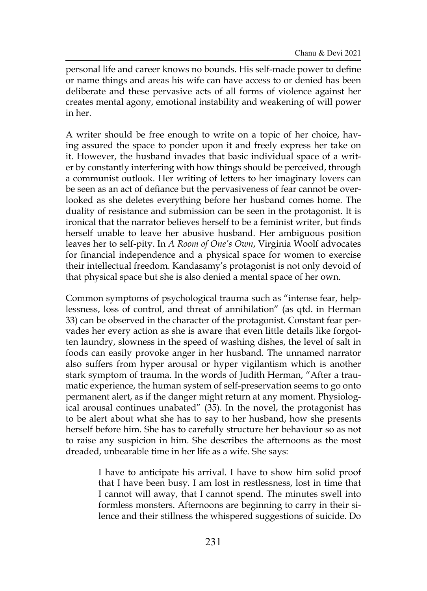personal life and career knows no bounds. His self-made power to define or name things and areas his wife can have access to or denied has been deliberate and these pervasive acts of all forms of violence against her creates mental agony, emotional instability and weakening of will power in her.

A writer should be free enough to write on a topic of her choice, having assured the space to ponder upon it and freely express her take on it. However, the husband invades that basic individual space of a writer by constantly interfering with how things should be perceived, through a communist outlook. Her writing of letters to her imaginary lovers can be seen as an act of defiance but the pervasiveness of fear cannot be overlooked as she deletes everything before her husband comes home. The duality of resistance and submission can be seen in the protagonist. It is ironical that the narrator believes herself to be a feminist writer, but finds herself unable to leave her abusive husband. Her ambiguous position leaves her to self-pity. In *A Room of One's Own*, Virginia Woolf advocates for financial independence and a physical space for women to exercise their intellectual freedom. Kandasamy's protagonist is not only devoid of that physical space but she is also denied a mental space of her own.

Common symptoms of psychological trauma such as "intense fear, helplessness, loss of control, and threat of annihilation" (as qtd. in Herman 33) can be observed in the character of the protagonist. Constant fear pervades her every action as she is aware that even little details like forgotten laundry, slowness in the speed of washing dishes, the level of salt in foods can easily provoke anger in her husband. The unnamed narrator also suffers from hyper arousal or hyper vigilantism which is another stark symptom of trauma. In the words of Judith Herman, "After a traumatic experience, the human system of self-preservation seems to go onto permanent alert, as if the danger might return at any moment. Physiological arousal continues unabated" (35). In the novel, the protagonist has to be alert about what she has to say to her husband, how she presents herself before him. She has to carefully structure her behaviour so as not to raise any suspicion in him. She describes the afternoons as the most dreaded, unbearable time in her life as a wife. She says:

> I have to anticipate his arrival. I have to show him solid proof that I have been busy. I am lost in restlessness, lost in time that I cannot will away, that I cannot spend. The minutes swell into formless monsters. Afternoons are beginning to carry in their silence and their stillness the whispered suggestions of suicide. Do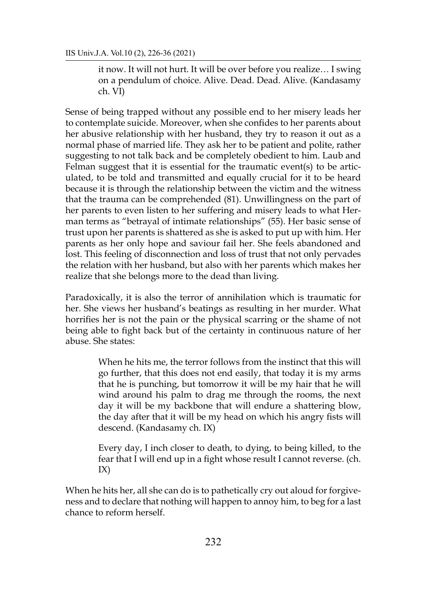it now. It will not hurt. It will be over before you realize… I swing on a pendulum of choice. Alive. Dead. Dead. Alive. (Kandasamy ch. VI)

Sense of being trapped without any possible end to her misery leads her to contemplate suicide. Moreover, when she confides to her parents about her abusive relationship with her husband, they try to reason it out as a normal phase of married life. They ask her to be patient and polite, rather suggesting to not talk back and be completely obedient to him. Laub and Felman suggest that it is essential for the traumatic event(s) to be articulated, to be told and transmitted and equally crucial for it to be heard because it is through the relationship between the victim and the witness that the trauma can be comprehended (81). Unwillingness on the part of her parents to even listen to her suffering and misery leads to what Herman terms as "betrayal of intimate relationships" (55). Her basic sense of trust upon her parents is shattered as she is asked to put up with him. Her parents as her only hope and saviour fail her. She feels abandoned and lost. This feeling of disconnection and loss of trust that not only pervades the relation with her husband, but also with her parents which makes her realize that she belongs more to the dead than living.

Paradoxically, it is also the terror of annihilation which is traumatic for her. She views her husband's beatings as resulting in her murder. What horrifies her is not the pain or the physical scarring or the shame of not being able to fight back but of the certainty in continuous nature of her abuse. She states:

> When he hits me, the terror follows from the instinct that this will go further, that this does not end easily, that today it is my arms that he is punching, but tomorrow it will be my hair that he will wind around his palm to drag me through the rooms, the next day it will be my backbone that will endure a shattering blow, the day after that it will be my head on which his angry fists will descend. (Kandasamy ch. IX)

> Every day, I inch closer to death, to dying, to being killed, to the fear that I will end up in a fight whose result I cannot reverse. (ch. IX)

When he hits her, all she can do is to pathetically cry out aloud for forgiveness and to declare that nothing will happen to annoy him, to beg for a last chance to reform herself.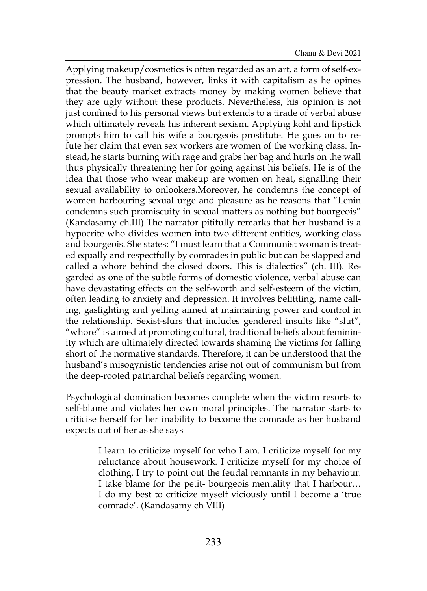Applying makeup/cosmetics is often regarded as an art, a form of self-expression. The husband, however, links it with capitalism as he opines that the beauty market extracts money by making women believe that they are ugly without these products. Nevertheless, his opinion is not just confined to his personal views but extends to a tirade of verbal abuse which ultimately reveals his inherent sexism. Applying kohl and lipstick prompts him to call his wife a bourgeois prostitute. He goes on to refute her claim that even sex workers are women of the working class. Instead, he starts burning with rage and grabs her bag and hurls on the wall thus physically threatening her for going against his beliefs. He is of the idea that those who wear makeup are women on heat, signalling their sexual availability to onlookers.Moreover, he condemns the concept of women harbouring sexual urge and pleasure as he reasons that "Lenin condemns such promiscuity in sexual matters as nothing but bourgeois" (Kandasamy ch.III) The narrator pitifully remarks that her husband is a hypocrite who divides women into two different entities, working class and bourgeois. She states: "I must learn that a Communist woman is treated equally and respectfully by comrades in public but can be slapped and called a whore behind the closed doors. This is dialectics" (ch. III). Regarded as one of the subtle forms of domestic violence, verbal abuse can have devastating effects on the self-worth and self-esteem of the victim, often leading to anxiety and depression. It involves belittling, name calling, gaslighting and yelling aimed at maintaining power and control in the relationship. Sexist-slurs that includes gendered insults like "slut", "whore" is aimed at promoting cultural, traditional beliefs about femininity which are ultimately directed towards shaming the victims for falling short of the normative standards. Therefore, it can be understood that the husband's misogynistic tendencies arise not out of communism but from the deep-rooted patriarchal beliefs regarding women.

Psychological domination becomes complete when the victim resorts to self-blame and violates her own moral principles. The narrator starts to criticise herself for her inability to become the comrade as her husband expects out of her as she says

> I learn to criticize myself for who I am. I criticize myself for my reluctance about housework. I criticize myself for my choice of clothing. I try to point out the feudal remnants in my behaviour. I take blame for the petit- bourgeois mentality that I harbour… I do my best to criticize myself viciously until I become a 'true comrade'. (Kandasamy ch VIII)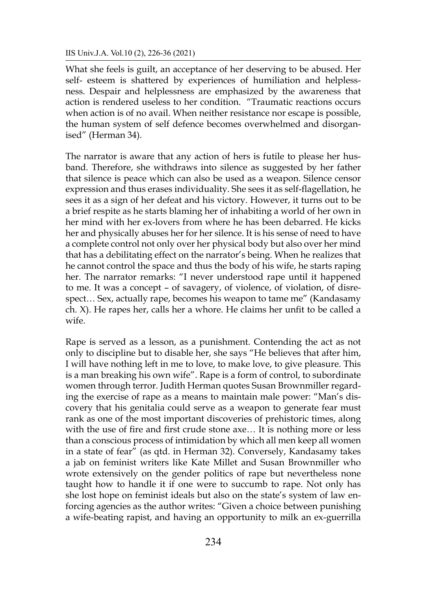What she feels is guilt, an acceptance of her deserving to be abused. Her self- esteem is shattered by experiences of humiliation and helplessness. Despair and helplessness are emphasized by the awareness that action is rendered useless to her condition. "Traumatic reactions occurs when action is of no avail. When neither resistance nor escape is possible, the human system of self defence becomes overwhelmed and disorganised" (Herman 34).

The narrator is aware that any action of hers is futile to please her husband. Therefore, she withdraws into silence as suggested by her father that silence is peace which can also be used as a weapon. Silence censor expression and thus erases individuality. She sees it as self-flagellation, he sees it as a sign of her defeat and his victory. However, it turns out to be a brief respite as he starts blaming her of inhabiting a world of her own in her mind with her ex-lovers from where he has been debarred. He kicks her and physically abuses her for her silence. It is his sense of need to have a complete control not only over her physical body but also over her mind that has a debilitating effect on the narrator's being. When he realizes that he cannot control the space and thus the body of his wife, he starts raping her. The narrator remarks: "I never understood rape until it happened to me. It was a concept – of savagery, of violence, of violation, of disrespect… Sex, actually rape, becomes his weapon to tame me" (Kandasamy ch. X). He rapes her, calls her a whore. He claims her unfit to be called a wife.

Rape is served as a lesson, as a punishment. Contending the act as not only to discipline but to disable her, she says "He believes that after him, I will have nothing left in me to love, to make love, to give pleasure. This is a man breaking his own wife". Rape is a form of control, to subordinate women through terror. Judith Herman quotes Susan Brownmiller regarding the exercise of rape as a means to maintain male power: "Man's discovery that his genitalia could serve as a weapon to generate fear must rank as one of the most important discoveries of prehistoric times, along with the use of fire and first crude stone axe… It is nothing more or less than a conscious process of intimidation by which all men keep all women in a state of fear" (as qtd. in Herman 32). Conversely, Kandasamy takes a jab on feminist writers like Kate Millet and Susan Brownmiller who wrote extensively on the gender politics of rape but nevertheless none taught how to handle it if one were to succumb to rape. Not only has she lost hope on feminist ideals but also on the state's system of law enforcing agencies as the author writes: "Given a choice between punishing a wife-beating rapist, and having an opportunity to milk an ex-guerrilla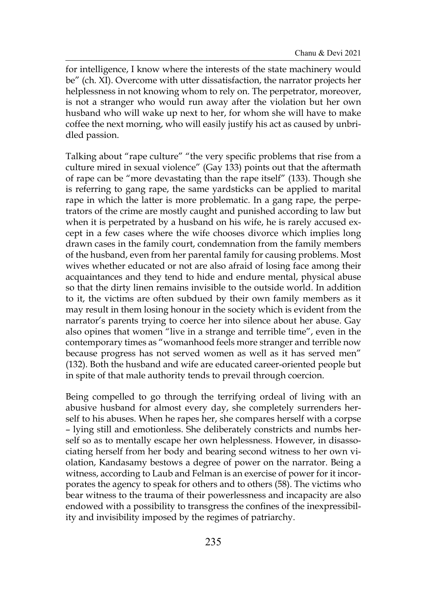for intelligence, I know where the interests of the state machinery would be" (ch. XI). Overcome with utter dissatisfaction, the narrator projects her helplessness in not knowing whom to rely on. The perpetrator, moreover, is not a stranger who would run away after the violation but her own husband who will wake up next to her, for whom she will have to make coffee the next morning, who will easily justify his act as caused by unbridled passion.

Talking about "rape culture" "the very specific problems that rise from a culture mired in sexual violence" (Gay 133) points out that the aftermath of rape can be "more devastating than the rape itself" (133). Though she is referring to gang rape, the same yardsticks can be applied to marital rape in which the latter is more problematic. In a gang rape, the perpetrators of the crime are mostly caught and punished according to law but when it is perpetrated by a husband on his wife, he is rarely accused except in a few cases where the wife chooses divorce which implies long drawn cases in the family court, condemnation from the family members of the husband, even from her parental family for causing problems. Most wives whether educated or not are also afraid of losing face among their acquaintances and they tend to hide and endure mental, physical abuse so that the dirty linen remains invisible to the outside world. In addition to it, the victims are often subdued by their own family members as it may result in them losing honour in the society which is evident from the narrator's parents trying to coerce her into silence about her abuse. Gay also opines that women "live in a strange and terrible time", even in the contemporary times as "womanhood feels more stranger and terrible now because progress has not served women as well as it has served men" (132). Both the husband and wife are educated career-oriented people but in spite of that male authority tends to prevail through coercion.

Being compelled to go through the terrifying ordeal of living with an abusive husband for almost every day, she completely surrenders herself to his abuses. When he rapes her, she compares herself with a corpse – lying still and emotionless. She deliberately constricts and numbs herself so as to mentally escape her own helplessness. However, in disassociating herself from her body and bearing second witness to her own violation, Kandasamy bestows a degree of power on the narrator. Being a witness, according to Laub and Felman is an exercise of power for it incorporates the agency to speak for others and to others (58). The victims who bear witness to the trauma of their powerlessness and incapacity are also endowed with a possibility to transgress the confines of the inexpressibility and invisibility imposed by the regimes of patriarchy.